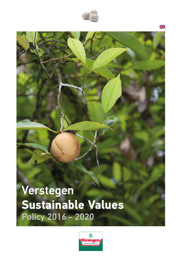

Verstegen **Sustainable Values** Policy 2016 - 2020



Ж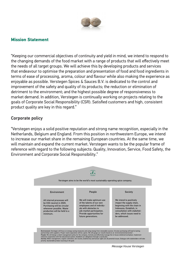

#### **Mission Statement**

"Keeping our commercial objectives of continuity and yield in mind, we intend to respond to the changing demands of the food market with a range of products that will effectively meet the needs of all target groups. We will achieve this by developing products and services that endeavour to optimise the preparation and presentation of food and food ingredients in terms of ease of processing, aroma, colour and flavour while also making the experience as enjoyable as possible. Verstegen Spices & Sauces B.V. is dedicated to the control and improvement of the safety and quality of its products; the reduction or elimination of detriment to the environment; and the highest possible degree of responsiveness to market demand. In addition, Verstegen is continually working on projects relating to the goals of Corporate Social Responsibility (CSR). Satisfied customers and high, consistent product quality are key in this regard."

### Corporate policy

"Verstegen enjoys a solid positive reputation and strong name recognition, especially in the Netherlands, Belgium and England. From this position in northwestern Europe, we intend to increase our market share in the remaining European countries. At the same time, we will maintain and expand the current market. Verstegen wants to be the popular frame of reference with regard to the following subjects: Quality, Innovation, Service, Food Safety, the Environment and Corporate Social Responsibility."

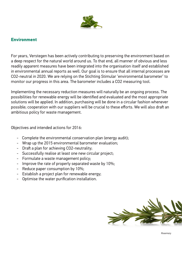

## **Environment**

For years, Verstegen has been actively contributing to preserving the environment based on a deep respect for the natural world around us. To that end, all manner of obvious and less readily apparent measures have been integrated into the organisation itself and established in environmental annual reports as well. Our goal is to ensure that all internal processes are CO2-neutral in 2020. We are relying on the Stichting Stimular 'environmental barometer' to monitor our progress in this area. The barometer includes a CO2 measuring tool.

Implementing the necessary reduction measures will naturally be an ongoing process. The possibilities for renewable energy will be identified and evaluated and the most appropriate solutions will be applied. In addition, purchasing will be done in a circular fashion whenever possible; cooperation with our suppliers will be crucial to these efforts. We will also draft an ambitious policy for waste management.

Objectives and intended actions for 2016:

- Complete the environmental conservation plan (energy audit);
- Wrap up the 2015 environmental barometer evaluation;
- Draft a plan for achieving CO2-neutrality;
- Successfully realise at least one new circular project;
- Formulate a waste management policy;
- Improve the rate of properly separated waste by 10%;
- Reduce paper consumption by 10%;
- Establish a project plan for renewable energy;
- Optimise the water purification installation.



*Rosemary*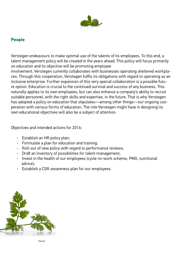

# **People**

Verstegen endeavours to make optimal use of the talents of its employees. To this end, a talent management policy will be created in the years ahead. This policy will focus primarily on education and its objective will be promoting employee involvement. Verstegen currently collaborates with businesses operating sheltered workplaces. Through this cooperation, Verstegen fulfils its obligations with regard to operating as an inclusive enterprise. Further expansion of this very special collaboration is a possible future option. Education is crucial to the continued survival and success of any business. This naturally applies to its own employees, but can also enhance a company's ability to recruit suitable personnel, with the right skills and expertise, in the future. That is why Verstegen has adopted a policy on education that stipulates—among other things—our ongoing cooperation with various forms of education. The role Verstegen might have in designing its own educational objectives will also be a subject of attention.

Objectives and intended actions for 2016:

- Establish an HR policy plan;
- Formulate a plan for education and training;
- Roll-out of new policy with regard to performance reviews;
- Draft an inventory of possibilities for talent management;
- Invest in the health of our employees (cycle-to-work scheme, PMO, nutritional advice);
- Establish a CSR-awareness plan for our employees.



*Chervil*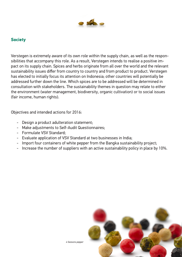

### **Society**

Verstegen is extremely aware of its own role within the supply chain, as well as the responsibilities that accompany this role. As a result, Verstegen intends to realise a positive impact on its supply chain. Spices and herbs originate from all over the world and the relevant sustainability issues differ from country to country and from product to product. Verstegen has elected to initially focus its attention on Indonesia; other countries will potentially be addressed further down the line. Which spices are to be addressed will be determined in consultation with stakeholders. The sustainability themes in question may relate to either the environment (water management, biodiversity, organic cultivation) or to social issues (fair income, human rights).

Objectives and intended actions for 2016:

- Design a product adulteration statement;
- Make adjustments to Self-Audit Questionnaires;
- Formulate VSV Standard;
- Evaluate application of VSV Standard at two businesses in India;
- Import four containers of white pepper from the Bangka sustainability project;
- Increase the number of suppliers with an active sustainability policy in place by 10%.



*4 Seasons pepper*